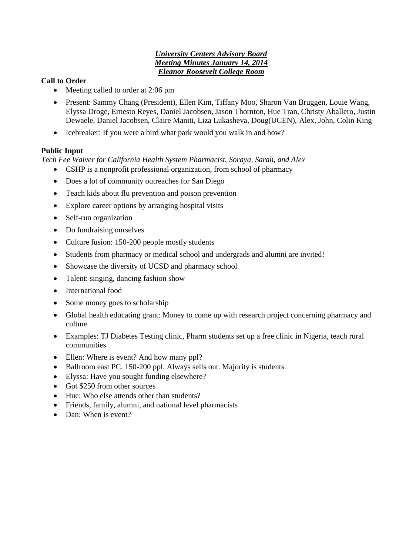## *University Centers Advisory Board Meeting Minutes January 14, 2014 Eleanor Roosevelt College Room*

# **Call to Order**

- Meeting called to order at 2:06 pm
- Present: Sammy Chang (President), Ellen Kim, Tiffany Moo, Sharon Van Bruggen, Louie Wang, Elyssa Droge, Ernesto Reyes, Daniel Jacobsen, Jason Thornton, Hue Tran, Christy Aballero, Justin Dewaele, Daniel Jacobsen, Claire Maniti, Liza Lukasheva, Doug(UCEN), Alex, John, Colin King
- Icebreaker: If you were a bird what park would you walk in and how?

### **Public Input**

*Tech Fee Waiver for California Health System Pharmacist, Soraya, Sarah, and Alex* 

- CSHP is a nonprofit professional organization, from school of pharmacy
	- Does a lot of community outreaches for San Diego
	- Teach kids about flu prevention and poison prevention
- Explore career options by arranging hospital visits
- Self-run organization
- Do fundraising ourselves
- Culture fusion: 150-200 people mostly students
- Students from pharmacy or medical school and undergrads and alumni are invited!
- Showcase the diversity of UCSD and pharmacy school
- Talent: singing, dancing fashion show
- International food
- Some money goes to scholarship
- Global health educating grant: Money to come up with research project concerning pharmacy and culture
- Examples: TJ Diabetes Testing clinic, Pharm students set up a free clinic in Nigeria, teach rural communities
- Ellen: Where is event? And how many ppl?
- Ballroom east PC. 150-200 ppl. Always sells out. Majority is students
- Elyssa: Have you sought funding elsewhere?
- Got \$250 from other sources
- Hue: Who else attends other than students?
- Friends, family, alumni, and national level pharmacists
- Dan: When is event?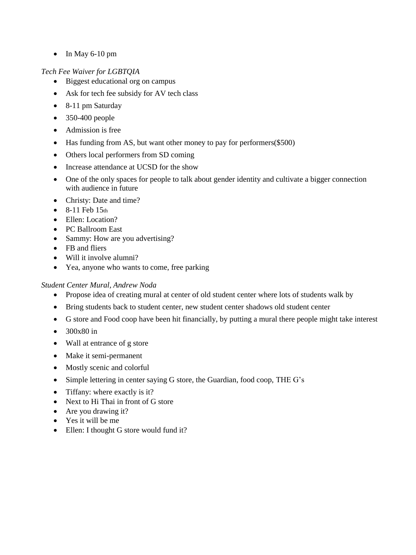$\bullet$  In May 6-10 pm

# *Tech Fee Waiver for LGBTQIA*

- Biggest educational org on campus
- Ask for tech fee subsidy for AV tech class
- 8-11 pm Saturday
- 350-400 people
- Admission is free
- Has funding from AS, but want other money to pay for performers(\$500)
- Others local performers from SD coming
- Increase attendance at UCSD for the show
- One of the only spaces for people to talk about gender identity and cultivate a bigger connection with audience in future
- Christy: Date and time?
- $\bullet$  8-11 Feb 15th
- Ellen: Location?
- PC Ballroom East
- Sammy: How are you advertising?
- FB and fliers
- Will it involve alumni?
- Yea, anyone who wants to come, free parking

# *Student Center Mural, Andrew Noda*

- Propose idea of creating mural at center of old student center where lots of students walk by
- Bring students back to student center, new student center shadows old student center
- G store and Food coop have been hit financially, by putting a mural there people might take interest
- $300x80$  in
- Wall at entrance of g store
- Make it semi-permanent
- Mostly scenic and colorful
- Simple lettering in center saying G store, the Guardian, food coop, THE G's
- Tiffany: where exactly is it?
- Next to Hi Thai in front of G store
- Are you drawing it?
- Yes it will be me
- Ellen: I thought G store would fund it?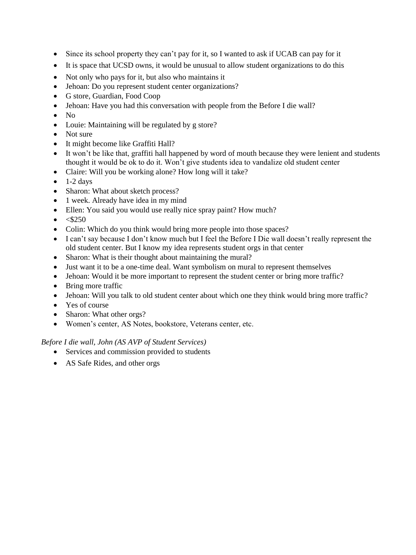- Since its school property they can't pay for it, so I wanted to ask if UCAB can pay for it
- It is space that UCSD owns, it would be unusual to allow student organizations to do this
- Not only who pays for it, but also who maintains it
- Jehoan: Do you represent student center organizations?
- G store, Guardian, Food Coop
- Jehoan: Have you had this conversation with people from the Before I die wall?
- $\bullet$  No
- Louie: Maintaining will be regulated by g store?
- Not sure
- It might become like Graffiti Hall?
- It won't be like that, graffiti hall happened by word of mouth because they were lenient and students thought it would be ok to do it. Won't give students idea to vandalize old student center
- Claire: Will you be working alone? How long will it take?
- $\bullet$  1-2 days
- Sharon: What about sketch process?
- 1 week. Already have idea in my mind
- Ellen: You said you would use really nice spray paint? How much?
- $\bullet \quad \leq $250$
- Colin: Which do you think would bring more people into those spaces?
- I can't say because I don't know much but I feel the Before I Die wall doesn't really represent the old student center. But I know my idea represents student orgs in that center
- Sharon: What is their thought about maintaining the mural?
- Just want it to be a one-time deal. Want symbolism on mural to represent themselves
- Jehoan: Would it be more important to represent the student center or bring more traffic?
- Bring more traffic
- Jehoan: Will you talk to old student center about which one they think would bring more traffic?
- Yes of course
- Sharon: What other orgs?
- Women's center, AS Notes, bookstore, Veterans center, etc.

*Before I die wall, John (AS AVP of Student Services)* 

- Services and commission provided to students
- AS Safe Rides, and other orgs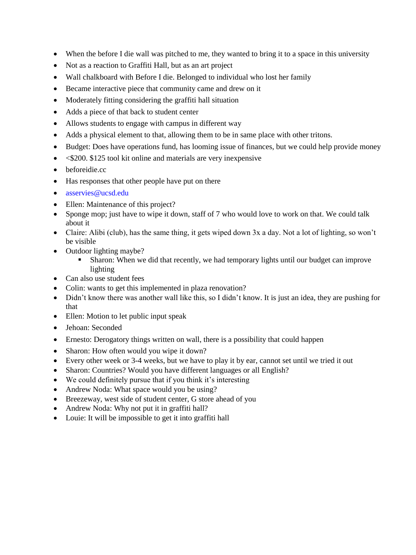- When the before I die wall was pitched to me, they wanted to bring it to a space in this university
- Not as a reaction to Graffiti Hall, but as an art project
- Wall chalkboard with Before I die. Belonged to individual who lost her family
- Became interactive piece that community came and drew on it
- Moderately fitting considering the graffiti hall situation
- Adds a piece of that back to student center
- Allows students to engage with campus in different way
- Adds a physical element to that, allowing them to be in same place with other tritons.
- Budget: Does have operations fund, has looming issue of finances, but we could help provide money
- $\bullet$   $\leq$ \$200. \$125 tool kit online and materials are very inexpensive
- beforeidie.cc
- Has responses that other people have put on there
- [asservies@ucsd.edu](mailto:asservies@ucsd.edu)
- Ellen: Maintenance of this project?
- Sponge mop; just have to wipe it down, staff of 7 who would love to work on that. We could talk about it
- Claire: Alibi (club), has the same thing, it gets wiped down 3x a day. Not a lot of lighting, so won't be visible
- Outdoor lighting maybe?
	- Sharon: When we did that recently, we had temporary lights until our budget can improve lighting
- Can also use student fees
- Colin: wants to get this implemented in plaza renovation?
- Didn't know there was another wall like this, so I didn't know. It is just an idea, they are pushing for that
- Ellen: Motion to let public input speak
- Jehoan: Seconded
- Ernesto: Derogatory things written on wall, there is a possibility that could happen
- Sharon: How often would you wipe it down?
- Every other week or 3-4 weeks, but we have to play it by ear, cannot set until we tried it out
- Sharon: Countries? Would you have different languages or all English?
- We could definitely pursue that if you think it's interesting
- Andrew Noda: What space would you be using?
- Breezeway, west side of student center, G store ahead of you
- Andrew Noda: Why not put it in graffiti hall?
- Louie: It will be impossible to get it into graffiti hall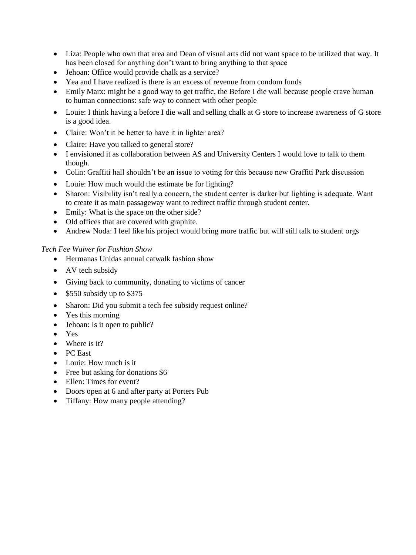- Liza: People who own that area and Dean of visual arts did not want space to be utilized that way. It has been closed for anything don't want to bring anything to that space
- Jehoan: Office would provide chalk as a service?
- Yea and I have realized is there is an excess of revenue from condom funds
- Emily Marx: might be a good way to get traffic, the Before I die wall because people crave human to human connections: safe way to connect with other people
- Louie: I think having a before I die wall and selling chalk at G store to increase awareness of G store is a good idea.
- Claire: Won't it be better to have it in lighter area?
- Claire: Have you talked to general store?
- I envisioned it as collaboration between AS and University Centers I would love to talk to them though.
- Colin: Graffiti hall shouldn't be an issue to voting for this because new Graffiti Park discussion
- Louie: How much would the estimate be for lighting?
- Sharon: Visibility isn't really a concern, the student center is darker but lighting is adequate. Want to create it as main passageway want to redirect traffic through student center.
- Emily: What is the space on the other side?
- Old offices that are covered with graphite.
- Andrew Noda: I feel like his project would bring more traffic but will still talk to student orgs

#### *Tech Fee Waiver for Fashion Show*

- Hermanas Unidas annual catwalk fashion show
- AV tech subsidy
- Giving back to community, donating to victims of cancer
- $\bullet$  \$550 subsidy up to \$375
- Sharon: Did you submit a tech fee subsidy request online?
- Yes this morning
- Jehoan: Is it open to public?
- Yes
- Where is it?
- PC East
- Louie: How much is it
- Free but asking for donations \$6
- Ellen: Times for event?
- Doors open at 6 and after party at Porters Pub
- Tiffany: How many people attending?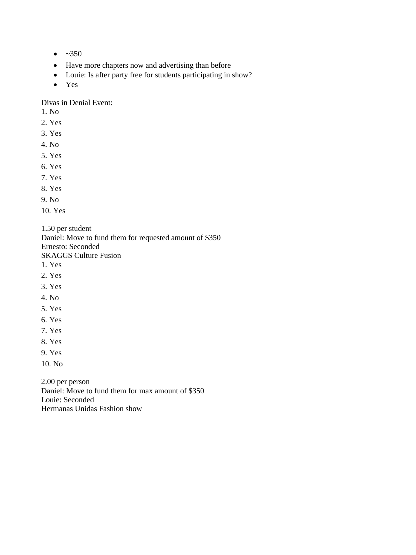- $~250$
- Have more chapters now and advertising than before
- Louie: Is after party free for students participating in show?
- Yes

Divas in Denial Event:

- 1. No
- 2. Yes
- 3. Yes
- 4. No
- 5. Yes
- 6. Yes
- 7. Yes
- 8. Yes
- 9. No
- 10. Yes
- 1.50 per student
- Daniel: Move to fund them for requested amount of \$350 Ernesto: Seconded

SKAGGS Culture Fusion

- 1. Yes
- 2. Yes
- 3. Yes
- 4. No
- 5. Yes
- 6. Yes
- 7. Yes
- 8. Yes
- 9. Yes
- 10. No

2.00 per person

Daniel: Move to fund them for max amount of \$350

Louie: Seconded Hermanas Unidas Fashion show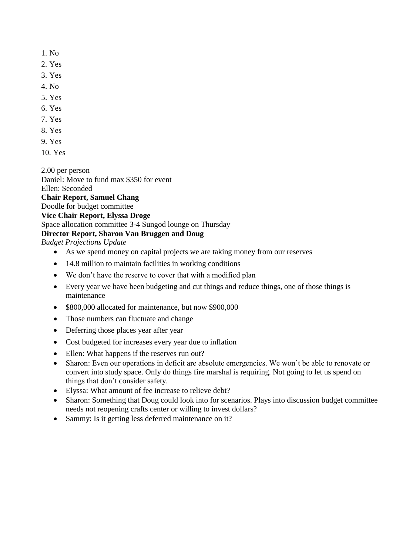- 1. No
- 2. Yes
- 3. Yes
- 4. No
- 5. Yes
- 6. Yes
- 7. Yes
- 8. Yes
- 9. Yes
- 10. Yes

2.00 per person Daniel: Move to fund max \$350 for event Ellen: Seconded **Chair Report, Samuel Chang**  Doodle for budget committee **Vice Chair Report, Elyssa Droge**  Space allocation committee 3-4 Sungod lounge on Thursday **Director Report, Sharon Van Bruggen and Doug** 

*Budget Projections Update* 

- As we spend money on capital projects we are taking money from our reserves
- 14.8 million to maintain facilities in working conditions
- We don't have the reserve to cover that with a modified plan
- Every year we have been budgeting and cut things and reduce things, one of those things is maintenance
- \$800,000 allocated for maintenance, but now \$900,000
- Those numbers can fluctuate and change
- Deferring those places year after year
- Cost budgeted for increases every year due to inflation
- Ellen: What happens if the reserves run out?
- Sharon: Even our operations in deficit are absolute emergencies. We won't be able to renovate or convert into study space. Only do things fire marshal is requiring. Not going to let us spend on things that don't consider safety.
- Elyssa: What amount of fee increase to relieve debt?
- Sharon: Something that Doug could look into for scenarios. Plays into discussion budget committee needs not reopening crafts center or willing to invest dollars?
- Sammy: Is it getting less deferred maintenance on it?